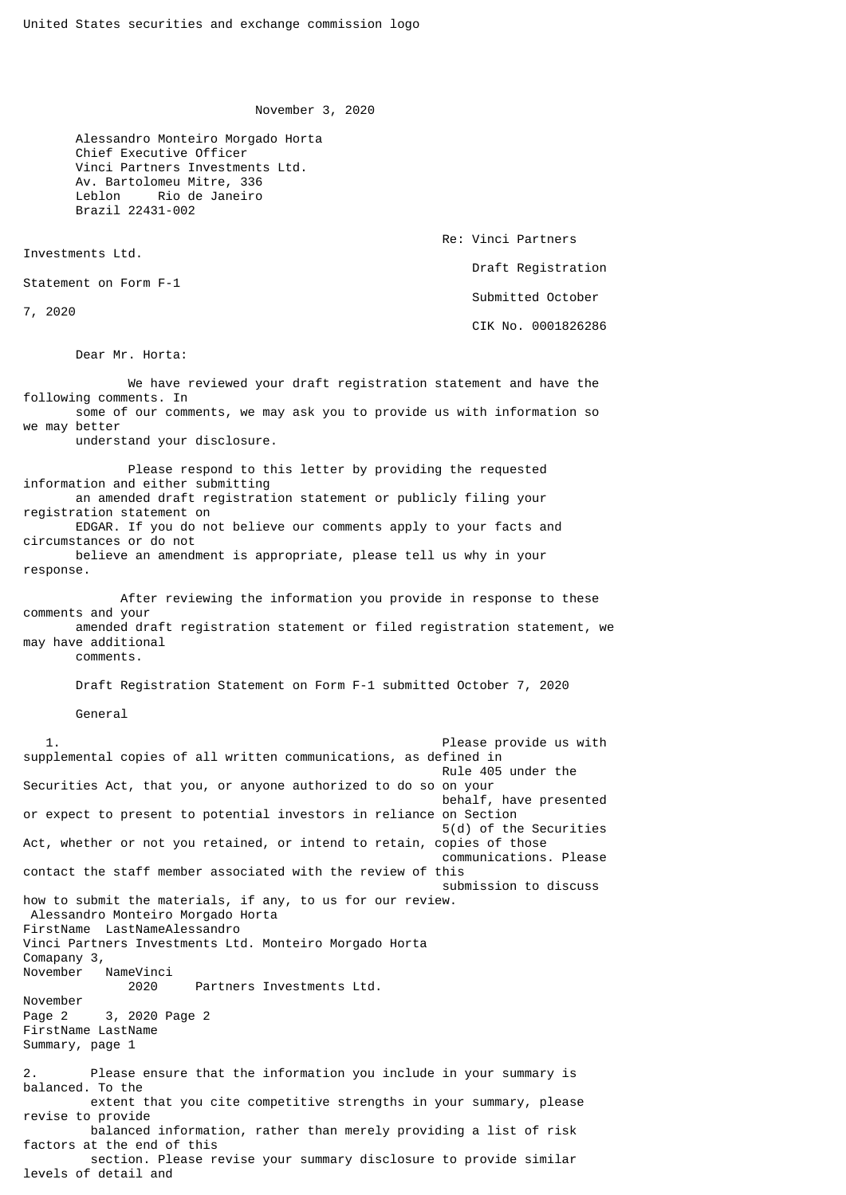November 3, 2020

 Alessandro Monteiro Morgado Horta Chief Executive Officer Vinci Partners Investments Ltd. Av. Bartolomeu Mitre, 336 Leblon Rio de Janeiro Brazil 22431-002

Investments Ltd.

Statement on Form F-1

7, 2020

Dear Mr. Horta:

 Re: Vinci Partners Draft Registration Submitted October

CIK No. 0001826286

 We have reviewed your draft registration statement and have the following comments. In some of our comments, we may ask you to provide us with information so we may better understand your disclosure. Please respond to this letter by providing the requested information and either submitting an amended draft registration statement or publicly filing your registration statement on EDGAR. If you do not believe our comments apply to your facts and

circumstances or do not believe an amendment is appropriate, please tell us why in your response.

 After reviewing the information you provide in response to these comments and your amended draft registration statement or filed registration statement, we may have additional

comments.

Draft Registration Statement on Form F-1 submitted October 7, 2020

General

 1. Please provide us with supplemental copies of all written communications, as defined in Rule 405 under the Securities Act, that you, or anyone authorized to do so on your behalf, have presented or expect to present to potential investors in reliance on Section 5(d) of the Securities Act, whether or not you retained, or intend to retain, copies of those communications. Please contact the staff member associated with the review of this submission to discuss how to submit the materials, if any, to us for our review. Alessandro Monteiro Morgado Horta FirstName LastNameAlessandro Vinci Partners Investments Ltd. Monteiro Morgado Horta Comapany 3,<br>November NameVinci 2020 Partners Investments Ltd. November Page 2 3, 2020 Page 2 FirstName LastName Summary, page 1 2. Please ensure that the information you include in your summary is balanced. To the extent that you cite competitive strengths in your summary, please revise to provide balanced information, rather than merely providing a list of risk factors at the end of this section. Please revise your summary disclosure to provide similar levels of detail and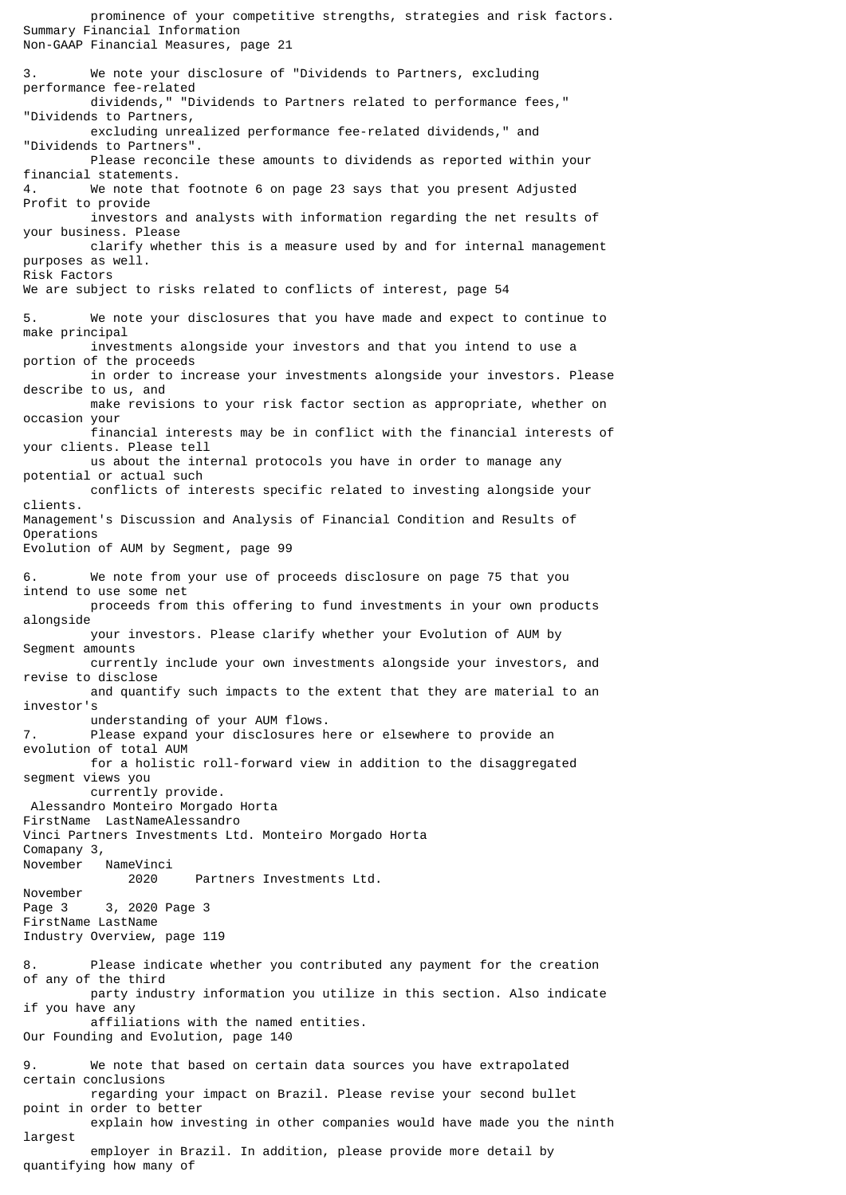prominence of your competitive strengths, strategies and risk factors. Summary Financial Information Non-GAAP Financial Measures, page 21 3. We note your disclosure of "Dividends to Partners, excluding performance fee-related dividends," "Dividends to Partners related to performance fees," "Dividends to Partners, excluding unrealized performance fee-related dividends," and "Dividends to Partners". Please reconcile these amounts to dividends as reported within your financial statements. We note that footnote 6 on page 23 says that you present Adjusted Profit to provide investors and analysts with information regarding the net results of your business. Please clarify whether this is a measure used by and for internal management purposes as well. Risk Factors We are subject to risks related to conflicts of interest, page 54 5. We note your disclosures that you have made and expect to continue to make principal investments alongside your investors and that you intend to use a portion of the proceeds in order to increase your investments alongside your investors. Please describe to us, and make revisions to your risk factor section as appropriate, whether on occasion your financial interests may be in conflict with the financial interests of your clients. Please tell us about the internal protocols you have in order to manage any potential or actual such conflicts of interests specific related to investing alongside your clients. Management's Discussion and Analysis of Financial Condition and Results of Operations Evolution of AUM by Segment, page 99 We note from your use of proceeds disclosure on page 75 that you intend to use some net proceeds from this offering to fund investments in your own products alongside your investors. Please clarify whether your Evolution of AUM by Segment amounts currently include your own investments alongside your investors, and revise to disclose and quantify such impacts to the extent that they are material to an investor's understanding of your AUM flows. 7. Please expand your disclosures here or elsewhere to provide an evolution of total AUM for a holistic roll-forward view in addition to the disaggregated segment views you currently provide. Alessandro Monteiro Morgado Horta FirstName LastNameAlessandro Vinci Partners Investments Ltd. Monteiro Morgado Horta Comapany 3, November NameVinci 2020 Partners Investments Ltd. November Page 3 3, 2020 Page 3 FirstName LastName Industry Overview, page 119 8. Please indicate whether you contributed any payment for the creation of any of the third party industry information you utilize in this section. Also indicate if you have any affiliations with the named entities. Our Founding and Evolution, page 140 9. We note that based on certain data sources you have extrapolated certain conclusions regarding your impact on Brazil. Please revise your second bullet point in order to better explain how investing in other companies would have made you the ninth largest employer in Brazil. In addition, please provide more detail by quantifying how many of